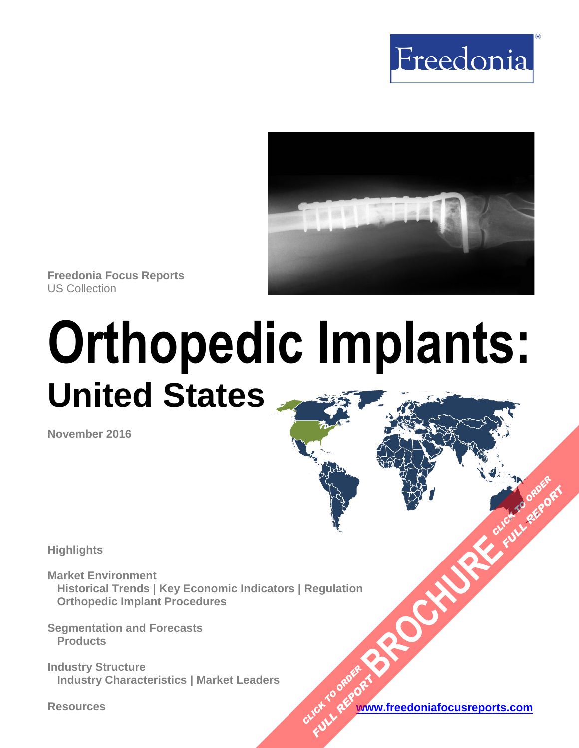



**Freedonia Focus Reports** US Collection

# **Orthopedic Implants: United States**

**November 2016**

**Highlights**

**Market Environment Historical Trends | Key Economic Indicators | Regulation Orthopedic Implant Procedures [BROCHURE](https://www.freedoniafocusreports.com/Orthopedic-Implants-United-States-10829475/?progid=89541) CLICK TO ORDER** 

**Segmentation and Forecasts Products**

**Industry Structure Industry Characteristics | Market Leaders**

**Resources [www.freedoniafocusreports.com](https://www.freedoniafocusreports.com/redirect.asp?progid=89541&url=/)** CLICK TO ORDER **FULL REPORT** 

**FULL REPORT**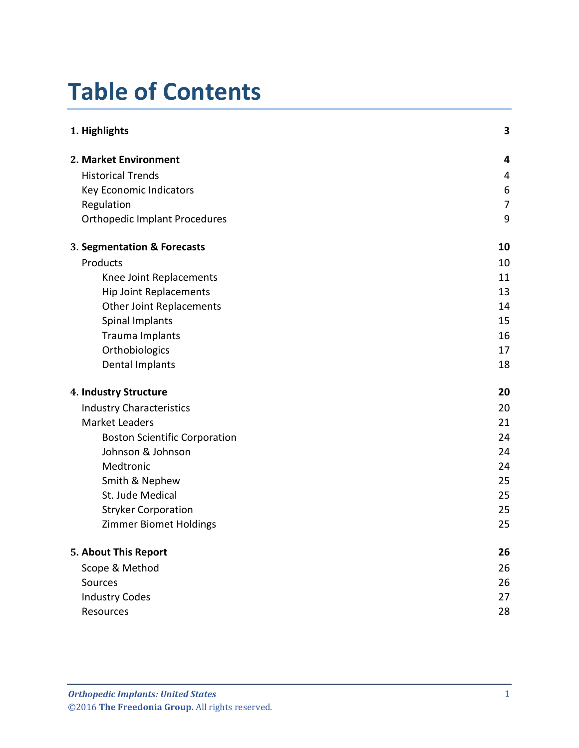## **Table of Contents**

| 1. Highlights                        | 3              |
|--------------------------------------|----------------|
| 2. Market Environment                | 4              |
| <b>Historical Trends</b>             | 4              |
| Key Economic Indicators              | 6              |
| Regulation                           | $\overline{7}$ |
| <b>Orthopedic Implant Procedures</b> | 9              |
| 3. Segmentation & Forecasts          | 10             |
| Products                             | 10             |
| Knee Joint Replacements              | 11             |
| <b>Hip Joint Replacements</b>        | 13             |
| <b>Other Joint Replacements</b>      | 14             |
| Spinal Implants                      | 15             |
| Trauma Implants                      | 16             |
| Orthobiologics                       | 17             |
| <b>Dental Implants</b>               | 18             |
| 4. Industry Structure                | 20             |
| <b>Industry Characteristics</b>      | 20             |
| <b>Market Leaders</b>                | 21             |
| <b>Boston Scientific Corporation</b> | 24             |
| Johnson & Johnson                    | 24             |
| Medtronic                            | 24             |
| Smith & Nephew                       | 25             |
| St. Jude Medical                     | 25             |
| <b>Stryker Corporation</b>           | 25             |
| <b>Zimmer Biomet Holdings</b>        | 25             |
| 5. About This Report                 | 26             |
| Scope & Method                       | 26             |
| Sources                              | 26             |
| <b>Industry Codes</b>                | 27             |
| Resources                            | 28             |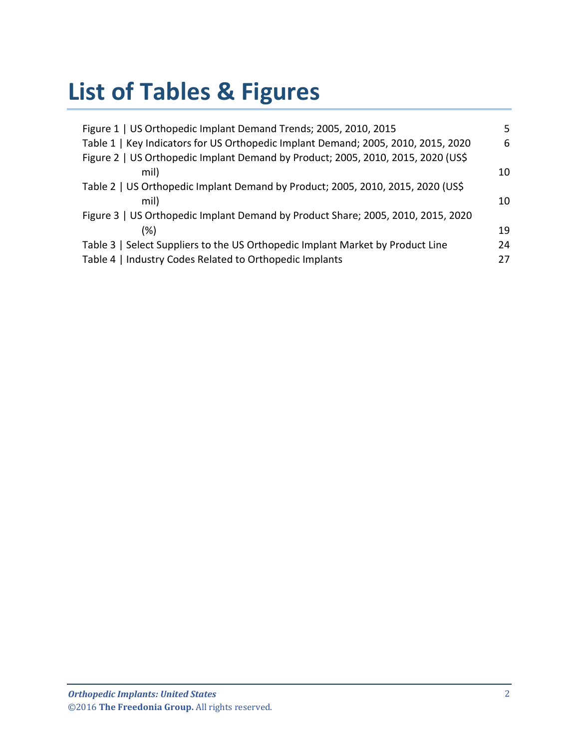## **List of Tables & Figures**

| Figure 1   US Orthopedic Implant Demand Trends; 2005, 2010, 2015                  | 5  |
|-----------------------------------------------------------------------------------|----|
| Table 1   Key Indicators for US Orthopedic Implant Demand; 2005, 2010, 2015, 2020 | 6  |
| Figure 2   US Orthopedic Implant Demand by Product; 2005, 2010, 2015, 2020 (US\$) |    |
| mil)                                                                              | 10 |
| Table 2   US Orthopedic Implant Demand by Product; 2005, 2010, 2015, 2020 (US\$)  |    |
| mil)                                                                              | 10 |
| Figure 3   US Orthopedic Implant Demand by Product Share; 2005, 2010, 2015, 2020  |    |
| $(\%)$                                                                            | 19 |
| Table 3   Select Suppliers to the US Orthopedic Implant Market by Product Line    | 24 |
| Table 4   Industry Codes Related to Orthopedic Implants                           | 27 |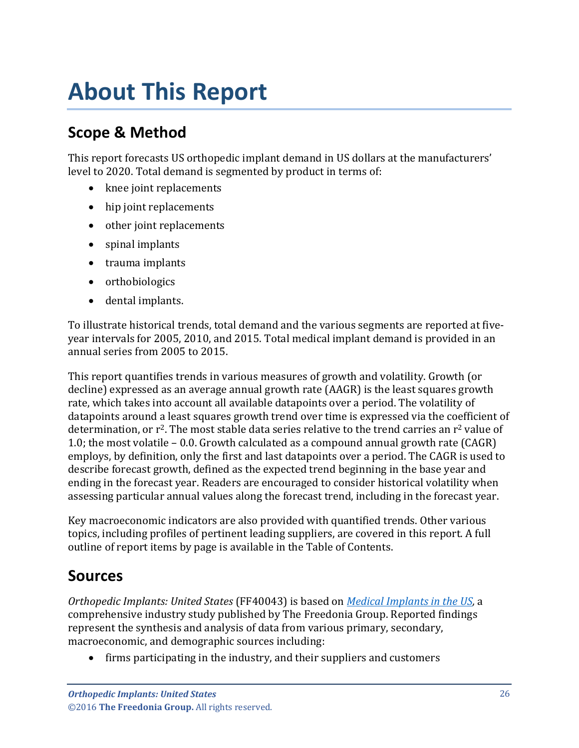## <span id="page-3-0"></span>**About This Report**

## <span id="page-3-1"></span>**Scope & Method**

This report forecasts US orthopedic implant demand in US dollars at the manufacturers' level to 2020. Total demand is segmented by product in terms of:

- knee joint replacements
- hip joint replacements
- other joint replacements
- spinal implants
- trauma implants
- orthobiologics
- dental implants.

To illustrate historical trends, total demand and the various segments are reported at fiveyear intervals for 2005, 2010, and 2015. Total medical implant demand is provided in an annual series from 2005 to 2015.

This report quantifies trends in various measures of growth and volatility. Growth (or decline) expressed as an average annual growth rate (AAGR) is the least squares growth rate, which takes into account all available datapoints over a period. The volatility of datapoints around a least squares growth trend over time is expressed via the coefficient of determination, or r<sup>2</sup>. The most stable data series relative to the trend carries an r<sup>2</sup> value of 1.0; the most volatile – 0.0. Growth calculated as a compound annual growth rate (CAGR) employs, by definition, only the first and last datapoints over a period. The CAGR is used to describe forecast growth, defined as the expected trend beginning in the base year and ending in the forecast year. Readers are encouraged to consider historical volatility when assessing particular annual values along the forecast trend, including in the forecast year.

Key macroeconomic indicators are also provided with quantified trends. Other various topics, including profiles of pertinent leading suppliers, are covered in this report. A full outline of report items by page is available in the Table of Contents.

## <span id="page-3-2"></span>**Sources**

*Orthopedic Implants: United States* (FF40043) is based on *[Medical Implants in the US,](http://www.freedoniagroup.com/DocumentDetails.aspx?ReferrerId=FL-FOCUS&studyid=3465)* a comprehensive industry study published by The Freedonia Group. Reported findings represent the synthesis and analysis of data from various primary, secondary, macroeconomic, and demographic sources including:

• firms participating in the industry, and their suppliers and customers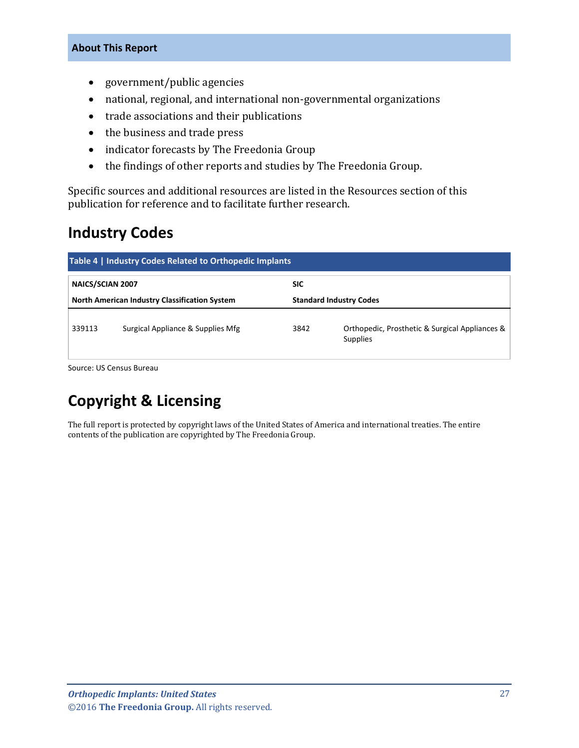#### **About This Report**

- government/public agencies
- national, regional, and international non-governmental organizations
- trade associations and their publications
- the business and trade press
- indicator forecasts by The Freedonia Group
- the findings of other reports and studies by The Freedonia Group.

Specific sources and additional resources are listed in the Resources section of this publication for reference and to facilitate further research.

## <span id="page-4-0"></span>**Industry Codes**

<span id="page-4-1"></span>

| Table 4   Industry Codes Related to Orthopedic Implants |                                                      |            |                                                                   |
|---------------------------------------------------------|------------------------------------------------------|------------|-------------------------------------------------------------------|
| NAICS/SCIAN 2007                                        |                                                      | <b>SIC</b> |                                                                   |
|                                                         | <b>North American Industry Classification System</b> |            | <b>Standard Industry Codes</b>                                    |
| 339113                                                  | Surgical Appliance & Supplies Mfg                    | 3842       | Orthopedic, Prosthetic & Surgical Appliances &<br><b>Supplies</b> |

Source: US Census Bureau

## **Copyright & Licensing**

The full report is protected by copyright laws of the United States of America and international treaties. The entire contents of the publication are copyrighted by The Freedonia Group.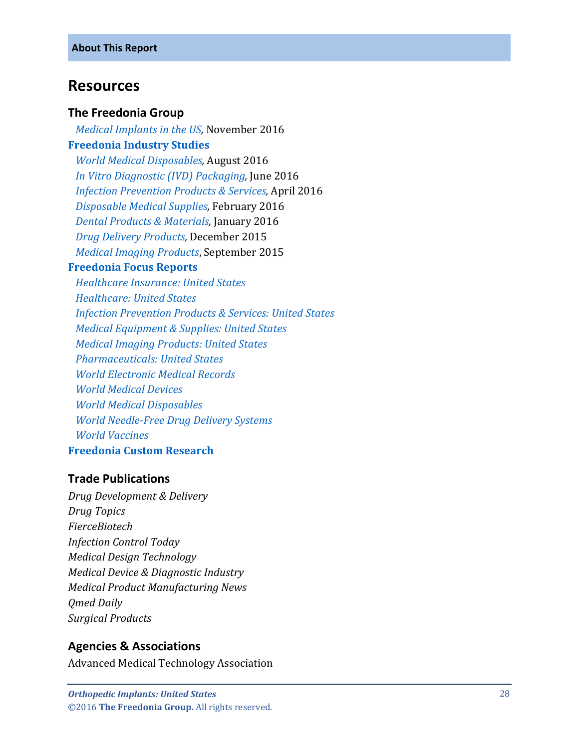## <span id="page-5-0"></span>**Resources**

#### **The Freedonia Group**

 *[Medical Implants in the US,](http://www.freedoniagroup.com/DocumentDetails.aspx?ReferrerId=FL-FOCUS&studyid=3465)* November 2016 **[Freedonia Industry Studies](http://www.freedoniagroup.com/Home.aspx?ReferrerId=FL-Focus)**  *[World Medical Disposables,](http://www.freedoniagroup.com/DocumentDetails.aspx?ReferrerId=FL-FOCUS&studyid=3446)* August 2016  *[In Vitro Diagnostic \(IVD\) Packaging,](http://www.freedoniagroup.com/DocumentDetails.aspx?ReferrerId=FL-FOCUS&studyid=3421)* June 2016  *[Infection Prevention Products & Services,](http://www.freedoniagroup.com/DocumentDetails.aspx?ReferrerId=FL-FOCUS&studyid=3403)* April 2016  *[Disposable Medical Supplies,](http://www.freedoniagroup.com/DocumentDetails.aspx?ReferrerId=FL-FOCUS&studyid=3378)* February 2016  *[Dental Products & Materials,](http://www.freedoniagroup.com/DocumentDetails.aspx?ReferrerId=FL-FOCUS&studyid=3359)* January 2016  *[Drug Delivery Products,](http://www.freedoniagroup.com/DocumentDetails.aspx?ReferrerId=FL-FOCUS&studyid=3354)* December 2015 *[Medical Imaging Products](http://www.freedoniagroup.com/DocumentDetails.aspx?ReferrerId=FL-FOCUS&studyid=3315)*, September 2015

#### **[Freedonia Focus Reports](https://www.freedoniafocusreports.com/)**

 *[Healthcare Insurance: United States](https://www.freedoniafocusreports.com/Healthcare-Insurance-United-States-8983284/) [Healthcare: United States](https://www.freedoniafocusreports.com/Healthcare-United-States-9513084/) [Infection Prevention Products & Services: United States](https://www.freedoniafocusreports.com/Infection-Prevention-Products-Services-United-States-10048187/) [Medical Equipment & Supplies: United States](https://www.freedoniafocusreports.com/Medical-Equipment-Supplies-United-States-9864009/) [Medical Imaging Products: United States](https://www.freedoniafocusreports.com/Medical-Imaging-Products-United-States-9402419/) [Pharmaceuticals: United States](https://www.freedoniafocusreports.com/Pharmaceuticals-United-States-10048193/) [World Electronic Medical Records](https://www.freedoniafocusreports.com/World-Electronic-Medical-Records-10423194/) [World Medical Devices](https://www.freedoniafocusreports.com/World-Medical-Devices-10335318/) [World Medical Disposables](https://www.freedoniafocusreports.com/World-Medical-Disposables-10335312/) [World Needle-Free Drug Delivery Systems](https://www.freedoniafocusreports.com/World-Needle-Free-Drug-Delivery-Systems-10335315/) [World Vaccines](https://www.freedoniafocusreports.com/World-Vaccines-10423188/)*

#### **[Freedonia Custom Research](http://www.freedoniagroup.com/CustomResearch.aspx?ReferrerId=FL-Focus)**

### **Trade Publications**

*Drug Development & Delivery Drug Topics FierceBiotech Infection Control Today Medical Design Technology Medical Device & Diagnostic Industry Medical Product Manufacturing News Qmed Daily Surgical Products*

### **Agencies & Associations**

Advanced Medical Technology Association